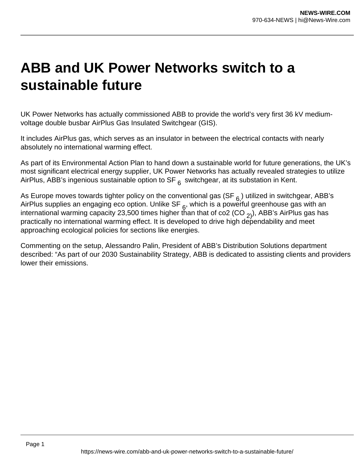## **ABB and UK Power Networks switch to a sustainable future**

UK Power Networks has actually commissioned ABB to provide the world's very first 36 kV mediumvoltage double busbar AirPlus Gas Insulated Switchgear (GIS).

It includes AirPlus gas, which serves as an insulator in between the electrical contacts with nearly absolutely no international warming effect.

As part of its Environmental Action Plan to hand down a sustainable world for future generations, the UK's most significant electrical energy supplier, UK Power Networks has actually revealed strategies to utilize AirPlus, ABB's ingenious sustainable option to  $SF_{6}$  switchgear, at its substation in Kent.

As Europe moves towards tighter policy on the conventional gas (SF  $_6$ ) utilized in switchgear, ABB's AirPlus supplies an engaging eco option. Unlike SF  $_6$ , which is a powerful greenhouse gas with an international warming capacity 23,500 times higher than that of co2 (CO  $_{2}$ ), ABB's AirPlus gas has practically no international warming effect. It is developed to drive high dependability and meet approaching ecological policies for sections like energies.

Commenting on the setup, Alessandro Palin, President of ABB's Distribution Solutions department described: "As part of our 2030 Sustainability Strategy, ABB is dedicated to assisting clients and providers lower their emissions.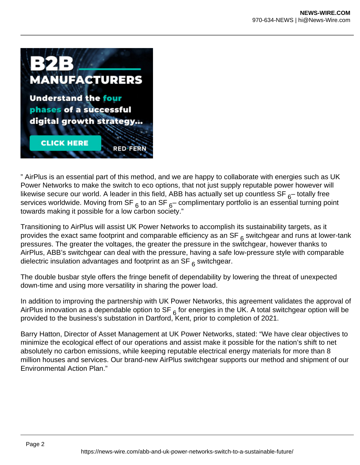

" AirPlus is an essential part of this method, and we are happy to collaborate with energies such as UK Power Networks to make the switch to eco options, that not just supply reputable power however will likewise secure our world. A leader in this field, ABB has actually set up countless SF  $_{6}$ -totally free services worldwide. Moving from SF  $6 \text{ to an SF}$  complimentary portfolio is an essential turning point towards making it possible for a low carbon society."

Transitioning to AirPlus will assist UK Power Networks to accomplish its sustainability targets, as it provides the exact same footprint and comparable efficiency as an SF  $_6$  switchgear and runs at lower-tank pressures. The greater the voltages, the greater the pressure in the switchgear, however thanks to AirPlus, ABB's switchgear can deal with the pressure, having a safe low-pressure style with comparable dielectric insulation advantages and footprint as an SF  $<sub>6</sub>$  switchgear.</sub>

The double busbar style offers the fringe benefit of dependability by lowering the threat of unexpected down-time and using more versatility in sharing the power load.

In addition to improving the partnership with UK Power Networks, this agreement validates the approval of AirPlus innovation as a dependable option to SF  $_6$  for energies in the UK. A total switchgear option will be provided to the business's substation in Dartford, Kent, prior to completion of 2021.

Barry Hatton, Director of Asset Management at UK Power Networks, stated: "We have clear objectives to minimize the ecological effect of our operations and assist make it possible for the nation's shift to net absolutely no carbon emissions, while keeping reputable electrical energy materials for more than 8 million houses and services. Our brand-new AirPlus switchgear supports our method and shipment of our Environmental Action Plan."